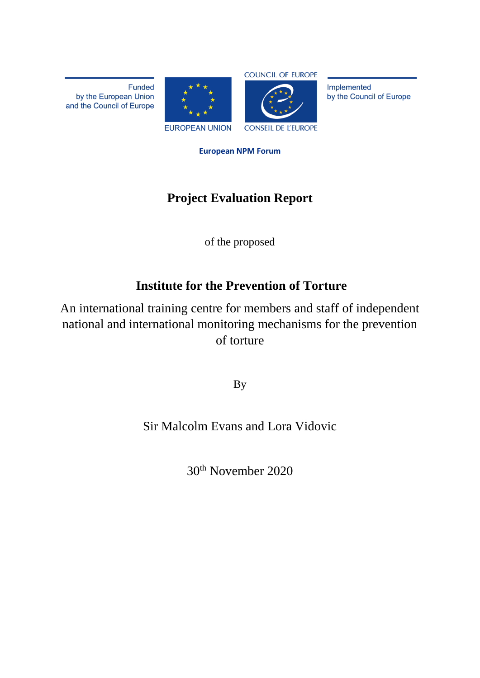**Funded** by the European Union and the Council of Europe





Implemented by the Council of Europe

**European NPM Forum**

# **Project Evaluation Report**

of the proposed

# **Institute for the Prevention of Torture**

An international training centre for members and staff of independent national and international monitoring mechanisms for the prevention of torture

By

# Sir Malcolm Evans and Lora Vidovic

30th November 2020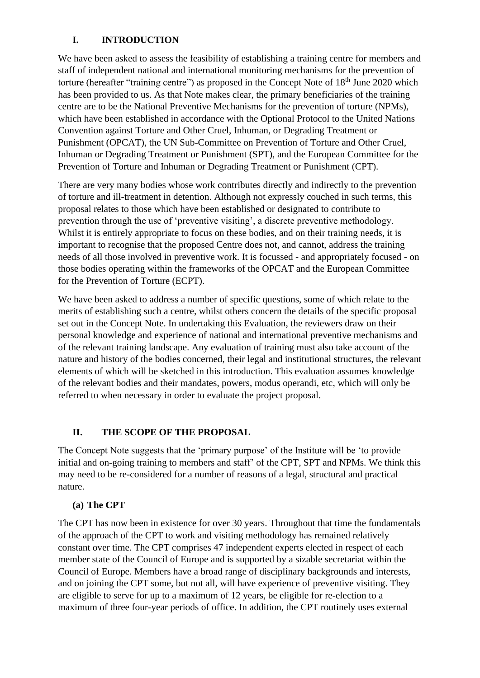## **I. INTRODUCTION**

We have been asked to assess the feasibility of establishing a training centre for members and staff of independent national and international monitoring mechanisms for the prevention of torture (hereafter "training centre") as proposed in the Concept Note of  $18<sup>th</sup>$  June 2020 which has been provided to us. As that Note makes clear, the primary beneficiaries of the training centre are to be the National Preventive Mechanisms for the prevention of torture (NPMs), which have been established in accordance with the Optional Protocol to the United Nations Convention against Torture and Other Cruel, Inhuman, or Degrading Treatment or Punishment (OPCAT), the UN Sub-Committee on Prevention of Torture and Other Cruel, Inhuman or Degrading Treatment or Punishment (SPT), and the European Committee for the Prevention of Torture and Inhuman or Degrading Treatment or Punishment (CPT).

There are very many bodies whose work contributes directly and indirectly to the prevention of torture and ill-treatment in detention. Although not expressly couched in such terms, this proposal relates to those which have been established or designated to contribute to prevention through the use of 'preventive visiting', a discrete preventive methodology. Whilst it is entirely appropriate to focus on these bodies, and on their training needs, it is important to recognise that the proposed Centre does not, and cannot, address the training needs of all those involved in preventive work. It is focussed - and appropriately focused - on those bodies operating within the frameworks of the OPCAT and the European Committee for the Prevention of Torture (ECPT).

We have been asked to address a number of specific questions, some of which relate to the merits of establishing such a centre, whilst others concern the details of the specific proposal set out in the Concept Note. In undertaking this Evaluation, the reviewers draw on their personal knowledge and experience of national and international preventive mechanisms and of the relevant training landscape. Any evaluation of training must also take account of the nature and history of the bodies concerned, their legal and institutional structures, the relevant elements of which will be sketched in this introduction. This evaluation assumes knowledge of the relevant bodies and their mandates, powers, modus operandi, etc, which will only be referred to when necessary in order to evaluate the project proposal.

# **II. THE SCOPE OF THE PROPOSAL**

The Concept Note suggests that the 'primary purpose' of the Institute will be 'to provide initial and on-going training to members and staff' of the CPT, SPT and NPMs. We think this may need to be re-considered for a number of reasons of a legal, structural and practical nature.

### **(a) The CPT**

The CPT has now been in existence for over 30 years. Throughout that time the fundamentals of the approach of the CPT to work and visiting methodology has remained relatively constant over time. The CPT comprises 47 independent experts elected in respect of each member state of the Council of Europe and is supported by a sizable secretariat within the Council of Europe. Members have a broad range of disciplinary backgrounds and interests, and on joining the CPT some, but not all, will have experience of preventive visiting. They are eligible to serve for up to a maximum of 12 years, be eligible for re-election to a maximum of three four-year periods of office. In addition, the CPT routinely uses external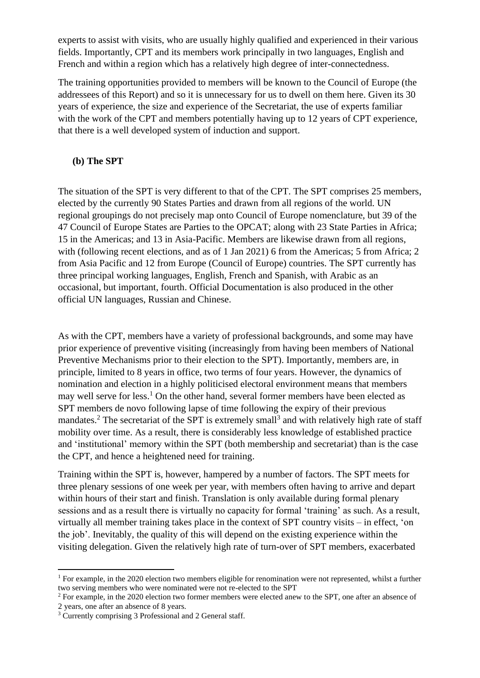experts to assist with visits, who are usually highly qualified and experienced in their various fields. Importantly, CPT and its members work principally in two languages, English and French and within a region which has a relatively high degree of inter-connectedness.

The training opportunities provided to members will be known to the Council of Europe (the addressees of this Report) and so it is unnecessary for us to dwell on them here. Given its 30 years of experience, the size and experience of the Secretariat, the use of experts familiar with the work of the CPT and members potentially having up to 12 years of CPT experience, that there is a well developed system of induction and support.

#### **(b) The SPT**

The situation of the SPT is very different to that of the CPT. The SPT comprises 25 members, elected by the currently 90 States Parties and drawn from all regions of the world. UN regional groupings do not precisely map onto Council of Europe nomenclature, but 39 of the 47 Council of Europe States are Parties to the OPCAT; along with 23 State Parties in Africa; 15 in the Americas; and 13 in Asia-Pacific. Members are likewise drawn from all regions, with (following recent elections, and as of 1 Jan 2021) 6 from the Americas; 5 from Africa; 2 from Asia Pacific and 12 from Europe (Council of Europe) countries. The SPT currently has three principal working languages, English, French and Spanish, with Arabic as an occasional, but important, fourth. Official Documentation is also produced in the other official UN languages, Russian and Chinese.

As with the CPT, members have a variety of professional backgrounds, and some may have prior experience of preventive visiting (increasingly from having been members of National Preventive Mechanisms prior to their election to the SPT). Importantly, members are, in principle, limited to 8 years in office, two terms of four years. However, the dynamics of nomination and election in a highly politicised electoral environment means that members may well serve for less.<sup>1</sup> On the other hand, several former members have been elected as SPT members de novo following lapse of time following the expiry of their previous mandates.<sup>2</sup> The secretariat of the SPT is extremely small<sup>3</sup> and with relatively high rate of staff mobility over time. As a result, there is considerably less knowledge of established practice and 'institutional' memory within the SPT (both membership and secretariat) than is the case the CPT, and hence a heightened need for training.

Training within the SPT is, however, hampered by a number of factors. The SPT meets for three plenary sessions of one week per year, with members often having to arrive and depart within hours of their start and finish. Translation is only available during formal plenary sessions and as a result there is virtually no capacity for formal 'training' as such. As a result, virtually all member training takes place in the context of SPT country visits – in effect, 'on the job'. Inevitably, the quality of this will depend on the existing experience within the visiting delegation. Given the relatively high rate of turn-over of SPT members, exacerbated

<sup>&</sup>lt;sup>1</sup> For example, in the 2020 election two members eligible for renomination were not represented, whilst a further two serving members who were nominated were not re-elected to the SPT

<sup>2</sup> For example, in the 2020 election two former members were elected anew to the SPT, one after an absence of 2 years, one after an absence of 8 years.

<sup>&</sup>lt;sup>3</sup> Currently comprising 3 Professional and 2 General staff.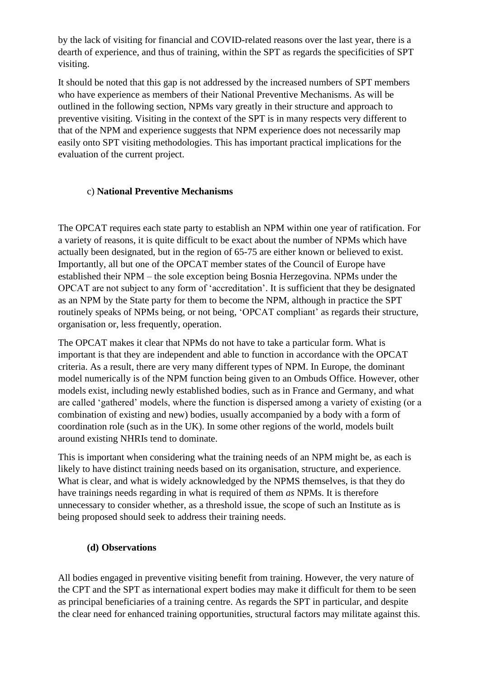by the lack of visiting for financial and COVID-related reasons over the last year, there is a dearth of experience, and thus of training, within the SPT as regards the specificities of SPT visiting.

It should be noted that this gap is not addressed by the increased numbers of SPT members who have experience as members of their National Preventive Mechanisms. As will be outlined in the following section, NPMs vary greatly in their structure and approach to preventive visiting. Visiting in the context of the SPT is in many respects very different to that of the NPM and experience suggests that NPM experience does not necessarily map easily onto SPT visiting methodologies. This has important practical implications for the evaluation of the current project.

## c) **National Preventive Mechanisms**

The OPCAT requires each state party to establish an NPM within one year of ratification. For a variety of reasons, it is quite difficult to be exact about the number of NPMs which have actually been designated, but in the region of 65-75 are either known or believed to exist. Importantly, all but one of the OPCAT member states of the Council of Europe have established their NPM – the sole exception being Bosnia Herzegovina. NPMs under the OPCAT are not subject to any form of 'accreditation'. It is sufficient that they be designated as an NPM by the State party for them to become the NPM, although in practice the SPT routinely speaks of NPMs being, or not being, 'OPCAT compliant' as regards their structure, organisation or, less frequently, operation.

The OPCAT makes it clear that NPMs do not have to take a particular form. What is important is that they are independent and able to function in accordance with the OPCAT criteria. As a result, there are very many different types of NPM. In Europe, the dominant model numerically is of the NPM function being given to an Ombuds Office. However, other models exist, including newly established bodies, such as in France and Germany, and what are called 'gathered' models, where the function is dispersed among a variety of existing (or a combination of existing and new) bodies, usually accompanied by a body with a form of coordination role (such as in the UK). In some other regions of the world, models built around existing NHRIs tend to dominate.

This is important when considering what the training needs of an NPM might be, as each is likely to have distinct training needs based on its organisation, structure, and experience. What is clear, and what is widely acknowledged by the NPMS themselves, is that they do have trainings needs regarding in what is required of them *as* NPMs. It is therefore unnecessary to consider whether, as a threshold issue, the scope of such an Institute as is being proposed should seek to address their training needs.

# **(d) Observations**

All bodies engaged in preventive visiting benefit from training. However, the very nature of the CPT and the SPT as international expert bodies may make it difficult for them to be seen as principal beneficiaries of a training centre. As regards the SPT in particular, and despite the clear need for enhanced training opportunities, structural factors may militate against this.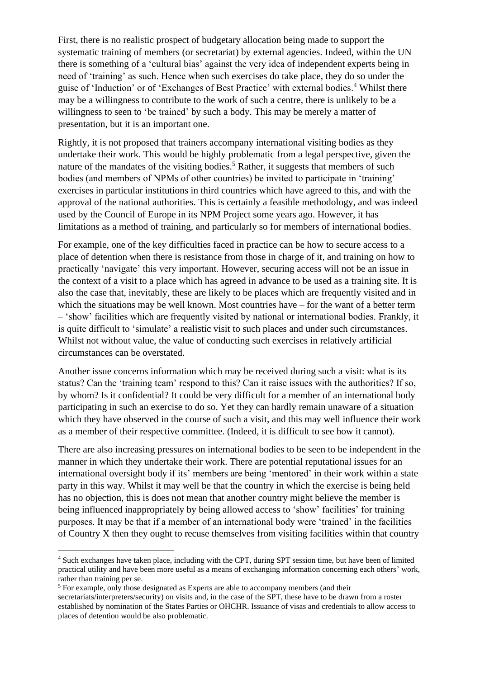First, there is no realistic prospect of budgetary allocation being made to support the systematic training of members (or secretariat) by external agencies. Indeed, within the UN there is something of a 'cultural bias' against the very idea of independent experts being in need of 'training' as such. Hence when such exercises do take place, they do so under the guise of 'Induction' or of 'Exchanges of Best Practice' with external bodies.<sup>4</sup> Whilst there may be a willingness to contribute to the work of such a centre, there is unlikely to be a willingness to seen to 'be trained' by such a body. This may be merely a matter of presentation, but it is an important one.

Rightly, it is not proposed that trainers accompany international visiting bodies as they undertake their work. This would be highly problematic from a legal perspective, given the nature of the mandates of the visiting bodies.<sup>5</sup> Rather, it suggests that members of such bodies (and members of NPMs of other countries) be invited to participate in 'training' exercises in particular institutions in third countries which have agreed to this, and with the approval of the national authorities. This is certainly a feasible methodology, and was indeed used by the Council of Europe in its NPM Project some years ago. However, it has limitations as a method of training, and particularly so for members of international bodies.

For example, one of the key difficulties faced in practice can be how to secure access to a place of detention when there is resistance from those in charge of it, and training on how to practically 'navigate' this very important. However, securing access will not be an issue in the context of a visit to a place which has agreed in advance to be used as a training site. It is also the case that, inevitably, these are likely to be places which are frequently visited and in which the situations may be well known. Most countries have – for the want of a better term – 'show' facilities which are frequently visited by national or international bodies. Frankly, it is quite difficult to 'simulate' a realistic visit to such places and under such circumstances. Whilst not without value, the value of conducting such exercises in relatively artificial circumstances can be overstated.

Another issue concerns information which may be received during such a visit: what is its status? Can the 'training team' respond to this? Can it raise issues with the authorities? If so, by whom? Is it confidential? It could be very difficult for a member of an international body participating in such an exercise to do so. Yet they can hardly remain unaware of a situation which they have observed in the course of such a visit, and this may well influence their work as a member of their respective committee. (Indeed, it is difficult to see how it cannot).

There are also increasing pressures on international bodies to be seen to be independent in the manner in which they undertake their work. There are potential reputational issues for an international oversight body if its' members are being 'mentored' in their work within a state party in this way. Whilst it may well be that the country in which the exercise is being held has no objection, this is does not mean that another country might believe the member is being influenced inappropriately by being allowed access to 'show' facilities' for training purposes. It may be that if a member of an international body were 'trained' in the facilities of Country X then they ought to recuse themselves from visiting facilities within that country

<sup>4</sup> Such exchanges have taken place, including with the CPT, during SPT session time, but have been of limited practical utility and have been more useful as a means of exchanging information concerning each others' work, rather than training per se.

<sup>&</sup>lt;sup>5</sup> For example, only those designated as Experts are able to accompany members (and their secretariats/interpreters/security) on visits and, in the case of the SPT, these have to be drawn from a roster established by nomination of the States Parties or OHCHR. Issuance of visas and credentials to allow access to places of detention would be also problematic.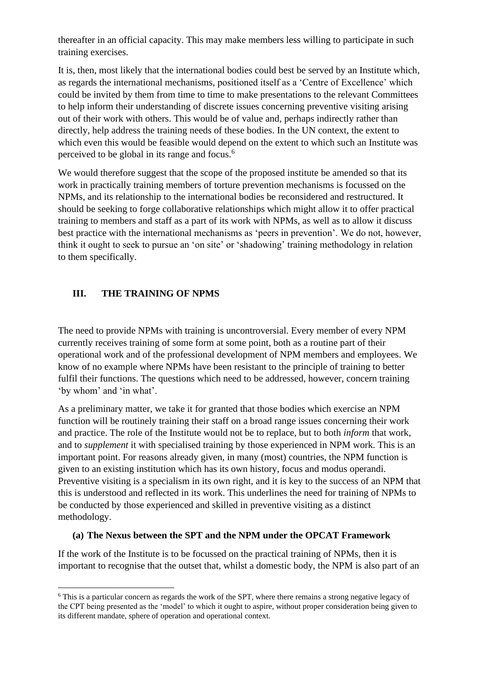thereafter in an official capacity. This may make members less willing to participate in such training exercises.

It is, then, most likely that the international bodies could best be served by an Institute which, as regards the international mechanisms, positioned itself as a 'Centre of Excellence' which could be invited by them from time to time to make presentations to the relevant Committees to help inform their understanding of discrete issues concerning preventive visiting arising out of their work with others. This would be of value and, perhaps indirectly rather than directly, help address the training needs of these bodies. In the UN context, the extent to which even this would be feasible would depend on the extent to which such an Institute was perceived to be global in its range and focus. 6

We would therefore suggest that the scope of the proposed institute be amended so that its work in practically training members of torture prevention mechanisms is focussed on the NPMs, and its relationship to the international bodies be reconsidered and restructured. It should be seeking to forge collaborative relationships which might allow it to offer practical training to members and staff as a part of its work with NPMs, as well as to allow it discuss best practice with the international mechanisms as 'peers in prevention'. We do not, however, think it ought to seek to pursue an 'on site' or 'shadowing' training methodology in relation to them specifically.

# **III. THE TRAINING OF NPMS**

The need to provide NPMs with training is uncontroversial. Every member of every NPM currently receives training of some form at some point, both as a routine part of their operational work and of the professional development of NPM members and employees. We know of no example where NPMs have been resistant to the principle of training to better fulfil their functions. The questions which need to be addressed, however, concern training 'by whom' and 'in what'.

As a preliminary matter, we take it for granted that those bodies which exercise an NPM function will be routinely training their staff on a broad range issues concerning their work and practice. The role of the Institute would not be to replace, but to both *inform* that work, and to *supplement* it with specialised training by those experienced in NPM work. This is an important point. For reasons already given, in many (most) countries, the NPM function is given to an existing institution which has its own history, focus and modus operandi. Preventive visiting is a specialism in its own right, and it is key to the success of an NPM that this is understood and reflected in its work. This underlines the need for training of NPMs to be conducted by those experienced and skilled in preventive visiting as a distinct methodology.

### **(a) The Nexus between the SPT and the NPM under the OPCAT Framework**

If the work of the Institute is to be focussed on the practical training of NPMs, then it is important to recognise that the outset that, whilst a domestic body, the NPM is also part of an

<sup>6</sup> This is a particular concern as regards the work of the SPT, where there remains a strong negative legacy of the CPT being presented as the 'model' to which it ought to aspire, without proper consideration being given to its different mandate, sphere of operation and operational context.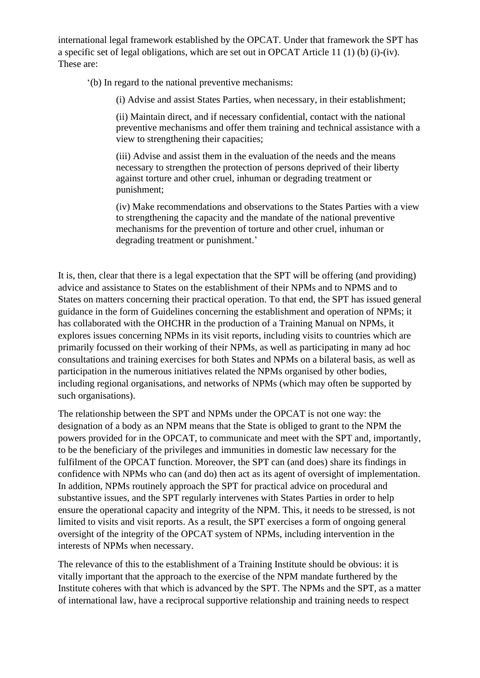international legal framework established by the OPCAT. Under that framework the SPT has a specific set of legal obligations, which are set out in OPCAT Article 11 (1) (b) (i)-(iv). These are:

'(b) In regard to the national preventive mechanisms:

(i) Advise and assist States Parties, when necessary, in their establishment;

(ii) Maintain direct, and if necessary confidential, contact with the national preventive mechanisms and offer them training and technical assistance with a view to strengthening their capacities;

(iii) Advise and assist them in the evaluation of the needs and the means necessary to strengthen the protection of persons deprived of their liberty against torture and other cruel, inhuman or degrading treatment or punishment;

(iv) Make recommendations and observations to the States Parties with a view to strengthening the capacity and the mandate of the national preventive mechanisms for the prevention of torture and other cruel, inhuman or degrading treatment or punishment.'

It is, then, clear that there is a legal expectation that the SPT will be offering (and providing) advice and assistance to States on the establishment of their NPMs and to NPMS and to States on matters concerning their practical operation. To that end, the SPT has issued general guidance in the form of Guidelines concerning the establishment and operation of NPMs; it has collaborated with the OHCHR in the production of a Training Manual on NPMs, it explores issues concerning NPMs in its visit reports, including visits to countries which are primarily focussed on their working of their NPMs, as well as participating in many ad hoc consultations and training exercises for both States and NPMs on a bilateral basis, as well as participation in the numerous initiatives related the NPMs organised by other bodies, including regional organisations, and networks of NPMs (which may often be supported by such organisations).

The relationship between the SPT and NPMs under the OPCAT is not one way: the designation of a body as an NPM means that the State is obliged to grant to the NPM the powers provided for in the OPCAT, to communicate and meet with the SPT and, importantly, to be the beneficiary of the privileges and immunities in domestic law necessary for the fulfilment of the OPCAT function. Moreover, the SPT can (and does) share its findings in confidence with NPMs who can (and do) then act as its agent of oversight of implementation. In addition, NPMs routinely approach the SPT for practical advice on procedural and substantive issues, and the SPT regularly intervenes with States Parties in order to help ensure the operational capacity and integrity of the NPM. This, it needs to be stressed, is not limited to visits and visit reports. As a result, the SPT exercises a form of ongoing general oversight of the integrity of the OPCAT system of NPMs, including intervention in the interests of NPMs when necessary.

The relevance of this to the establishment of a Training Institute should be obvious: it is vitally important that the approach to the exercise of the NPM mandate furthered by the Institute coheres with that which is advanced by the SPT. The NPMs and the SPT, as a matter of international law, have a reciprocal supportive relationship and training needs to respect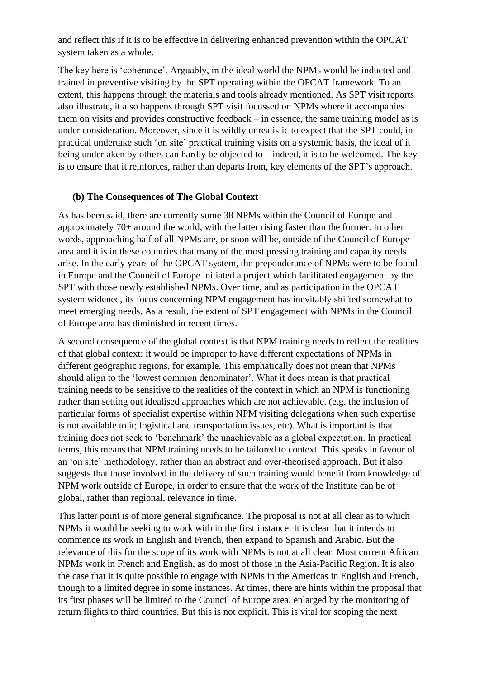and reflect this if it is to be effective in delivering enhanced prevention within the OPCAT system taken as a whole.

The key here is 'coherance'. Arguably, in the ideal world the NPMs would be inducted and trained in preventive visiting by the SPT operating within the OPCAT framework. To an extent, this happens through the materials and tools already mentioned. As SPT visit reports also illustrate, it also happens through SPT visit focussed on NPMs where it accompanies them on visits and provides constructive feedback – in essence, the same training model as is under consideration. Moreover, since it is wildly unrealistic to expect that the SPT could, in practical undertake such 'on site' practical training visits on a systemic basis, the ideal of it being undertaken by others can hardly be objected to – indeed, it is to be welcomed. The key is to ensure that it reinforces, rather than departs from, key elements of the SPT's approach.

### **(b) The Consequences of The Global Context**

As has been said, there are currently some 38 NPMs within the Council of Europe and approximately 70+ around the world, with the latter rising faster than the former. In other words, approaching half of all NPMs are, or soon will be, outside of the Council of Europe area and it is in these countries that many of the most pressing training and capacity needs arise. In the early years of the OPCAT system, the preponderance of NPMs were to be found in Europe and the Council of Europe initiated a project which facilitated engagement by the SPT with those newly established NPMs. Over time, and as participation in the OPCAT system widened, its focus concerning NPM engagement has inevitably shifted somewhat to meet emerging needs. As a result, the extent of SPT engagement with NPMs in the Council of Europe area has diminished in recent times.

A second consequence of the global context is that NPM training needs to reflect the realities of that global context: it would be improper to have different expectations of NPMs in different geographic regions, for example. This emphatically does not mean that NPMs should align to the 'lowest common denominator'. What it does mean is that practical training needs to be sensitive to the realities of the context in which an NPM is functioning rather than setting out idealised approaches which are not achievable. (e.g. the inclusion of particular forms of specialist expertise within NPM visiting delegations when such expertise is not available to it; logistical and transportation issues, etc). What is important is that training does not seek to 'benchmark' the unachievable as a global expectation. In practical terms, this means that NPM training needs to be tailored to context. This speaks in favour of an 'on site' methodology, rather than an abstract and over-theorised approach. But it also suggests that those involved in the delivery of such training would benefit from knowledge of NPM work outside of Europe, in order to ensure that the work of the Institute can be of global, rather than regional, relevance in time.

This latter point is of more general significance. The proposal is not at all clear as to which NPMs it would be seeking to work with in the first instance. It is clear that it intends to commence its work in English and French, then expand to Spanish and Arabic. But the relevance of this for the scope of its work with NPMs is not at all clear. Most current African NPMs work in French and English, as do most of those in the Asia-Pacific Region. It is also the case that it is quite possible to engage with NPMs in the Americas in English and French, though to a limited degree in some instances. At times, there are hints within the proposal that its first phases will be limited to the Council of Europe area, enlarged by the monitoring of return flights to third countries. But this is not explicit. This is vital for scoping the next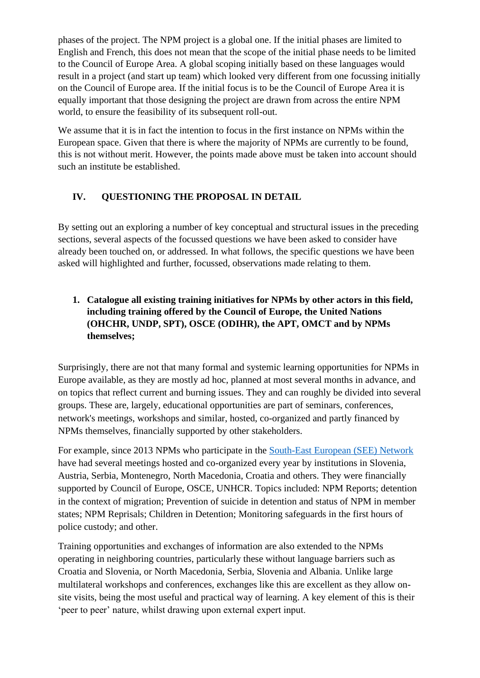phases of the project. The NPM project is a global one. If the initial phases are limited to English and French, this does not mean that the scope of the initial phase needs to be limited to the Council of Europe Area. A global scoping initially based on these languages would result in a project (and start up team) which looked very different from one focussing initially on the Council of Europe area. If the initial focus is to be the Council of Europe Area it is equally important that those designing the project are drawn from across the entire NPM world, to ensure the feasibility of its subsequent roll-out.

We assume that it is in fact the intention to focus in the first instance on NPMs within the European space. Given that there is where the majority of NPMs are currently to be found, this is not without merit. However, the points made above must be taken into account should such an institute be established.

# **IV. QUESTIONING THE PROPOSAL IN DETAIL**

By setting out an exploring a number of key conceptual and structural issues in the preceding sections, several aspects of the focussed questions we have been asked to consider have already been touched on, or addressed. In what follows, the specific questions we have been asked will highlighted and further, focussed, observations made relating to them.

**1. Catalogue all existing training initiatives for NPMs by other actors in this field, including training offered by the Council of Europe, the United Nations (OHCHR, UNDP, SPT), OSCE (ODIHR), the APT, OMCT and by NPMs themselves;** 

Surprisingly, there are not that many formal and systemic learning opportunities for NPMs in Europe available, as they are mostly ad hoc, planned at most several months in advance, and on topics that reflect current and burning issues. They and can roughly be divided into several groups. These are, largely, educational opportunities are part of seminars, conferences, network's meetings, workshops and similar, hosted, co-organized and partly financed by NPMs themselves, financially supported by other stakeholders.

For example, since 2013 NPMs who participate in the [South-East European \(SEE\) Network](https://volksanwaltschaft.gv.at/en/preventive-human-rights-monitoring/see-npm-network-chair-2016#anchor-index-3407) have had several meetings hosted and co-organized every year by institutions in Slovenia, Austria, Serbia, Montenegro, North Macedonia, Croatia and others. They were financially supported by Council of Europe, OSCE, UNHCR. Topics included: NPM Reports; detention in the context of migration; Prevention of suicide in detention and status of NPM in member states; NPM Reprisals; Children in Detention; Monitoring safeguards in the first hours of police custody; and other.

Training opportunities and exchanges of information are also extended to the NPMs operating in neighboring countries, particularly these without language barriers such as Croatia and Slovenia, or North Macedonia, Serbia, Slovenia and Albania. Unlike large multilateral workshops and conferences, exchanges like this are excellent as they allow onsite visits, being the most useful and practical way of learning. A key element of this is their 'peer to peer' nature, whilst drawing upon external expert input.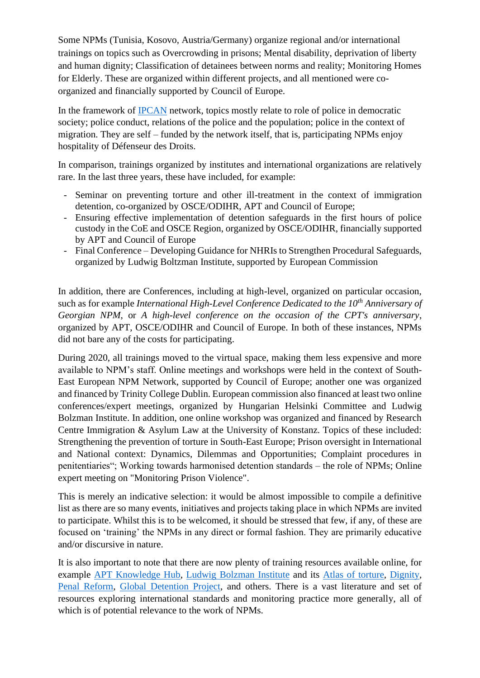Some NPMs (Tunisia, Kosovo, Austria/Germany) organize regional and/or international trainings on topics such as Overcrowding in prisons; Mental disability, deprivation of liberty and human dignity; Classification of detainees between norms and reality; Monitoring Homes for Elderly. These are organized within different projects, and all mentioned were coorganized and financially supported by Council of Europe.

In the framework of [IPCAN](https://ipcan.org/) network, topics mostly relate to role of police in democratic society; police conduct, relations of the police and the population; police in the context of migration. They are self – funded by the network itself, that is, participating NPMs enjoy hospitality of Défenseur des Droits.

In comparison, trainings organized by institutes and international organizations are relatively rare. In the last three years, these have included, for example:

- Seminar on preventing torture and other ill-treatment in the context of immigration detention, co-organized by OSCE/ODIHR, APT and Council of Europe;
- Ensuring effective implementation of detention safeguards in the first hours of police custody in the CoE and OSCE Region, organized by OSCE/ODIHR, financially supported by APT and Council of Europe
- Final Conference Developing Guidance for NHRIs to Strengthen Procedural Safeguards, organized by Ludwig Boltzman Institute, supported by European Commission

In addition, there are Conferences, including at high-level, organized on particular occasion, such as for example *International High-Level Conference Dedicated to the 10th Anniversary of Georgian NPM*, or *A high-level conference on the occasion of the CPT's anniversary*, organized by APT, OSCE/ODIHR and Council of Europe. In both of these instances, NPMs did not bare any of the costs for participating.

During 2020, all trainings moved to the virtual space, making them less expensive and more available to NPM's staff. Online meetings and workshops were held in the context of South-East European NPM Network, supported by Council of Europe; another one was organized and financed by Trinity College Dublin. European commission also financed at least two online conferences/expert meetings, organized by Hungarian Helsinki Committee and Ludwig Bolzman Institute. In addition, one online workshop was organized and financed by Research Centre Immigration & Asylum Law at the University of Konstanz. Topics of these included: Strengthening the prevention of torture in South-East Europe; Prison oversight in International and National context: Dynamics, Dilemmas and Opportunities; Complaint procedures in penitentiaries"; Working towards harmonised detention standards – the role of NPMs; Online expert meeting on "Monitoring Prison Violence".

This is merely an indicative selection: it would be almost impossible to compile a definitive list as there are so many events, initiatives and projects taking place in which NPMs are invited to participate. Whilst this is to be welcomed, it should be stressed that few, if any, of these are focused on 'training' the NPMs in any direct or formal fashion. They are primarily educative and/or discursive in nature.

It is also important to note that there are now plenty of training resources available online, for example [APT Knowledge Hub,](https://www.apt.ch/en/knowledge-hub) [Ludwig Bolzman Institute](https://bim.lbg.ac.at/en/project/current-projects-projects-human-dignity-and-public-security-projects-torture/atlas-torture-information-and-cooperation-platform-fight-torture-and-ill-treatment-world-wide) and its [Atlas of torture,](https://atlas-of-torture.org/library/?q=(_types:!(%275ccc4bf04f4b6566108e28f0%27),limit:30,order:desc,sort:creationDate,types:!(%275ccc4bf04f4b6566108e28f0%27))) [Dignity,](https://www.dignity.dk/en/publications/#series) [Penal Reform,](https://www.penalreform.org/) [Global Detention Project,](https://www.globaldetentionproject.org/) and others. There is a vast literature and set of resources exploring international standards and monitoring practice more generally, all of which is of potential relevance to the work of NPMs.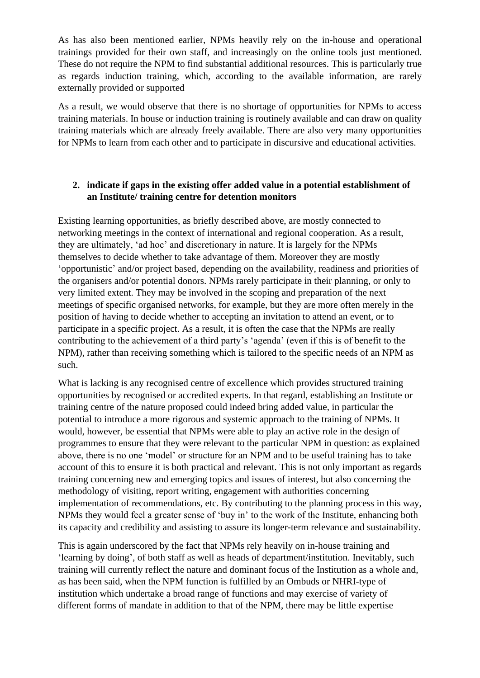As has also been mentioned earlier, NPMs heavily rely on the in-house and operational trainings provided for their own staff, and increasingly on the online tools just mentioned. These do not require the NPM to find substantial additional resources. This is particularly true as regards induction training, which, according to the available information, are rarely externally provided or supported

As a result, we would observe that there is no shortage of opportunities for NPMs to access training materials. In house or induction training is routinely available and can draw on quality training materials which are already freely available. There are also very many opportunities for NPMs to learn from each other and to participate in discursive and educational activities.

### **2. indicate if gaps in the existing offer added value in a potential establishment of an Institute/ training centre for detention monitors**

Existing learning opportunities, as briefly described above, are mostly connected to networking meetings in the context of international and regional cooperation. As a result, they are ultimately, 'ad hoc' and discretionary in nature. It is largely for the NPMs themselves to decide whether to take advantage of them. Moreover they are mostly 'opportunistic' and/or project based, depending on the availability, readiness and priorities of the organisers and/or potential donors. NPMs rarely participate in their planning, or only to very limited extent. They may be involved in the scoping and preparation of the next meetings of specific organised networks, for example, but they are more often merely in the position of having to decide whether to accepting an invitation to attend an event, or to participate in a specific project. As a result, it is often the case that the NPMs are really contributing to the achievement of a third party's 'agenda' (even if this is of benefit to the NPM), rather than receiving something which is tailored to the specific needs of an NPM as such.

What is lacking is any recognised centre of excellence which provides structured training opportunities by recognised or accredited experts. In that regard, establishing an Institute or training centre of the nature proposed could indeed bring added value, in particular the potential to introduce a more rigorous and systemic approach to the training of NPMs. It would, however, be essential that NPMs were able to play an active role in the design of programmes to ensure that they were relevant to the particular NPM in question: as explained above, there is no one 'model' or structure for an NPM and to be useful training has to take account of this to ensure it is both practical and relevant. This is not only important as regards training concerning new and emerging topics and issues of interest, but also concerning the methodology of visiting, report writing, engagement with authorities concerning implementation of recommendations, etc. By contributing to the planning process in this way, NPMs they would feel a greater sense of 'buy in' to the work of the Institute, enhancing both its capacity and credibility and assisting to assure its longer-term relevance and sustainability.

This is again underscored by the fact that NPMs rely heavily on in-house training and 'learning by doing', of both staff as well as heads of department/institution. Inevitably, such training will currently reflect the nature and dominant focus of the Institution as a whole and, as has been said, when the NPM function is fulfilled by an Ombuds or NHRI-type of institution which undertake a broad range of functions and may exercise of variety of different forms of mandate in addition to that of the NPM, there may be little expertise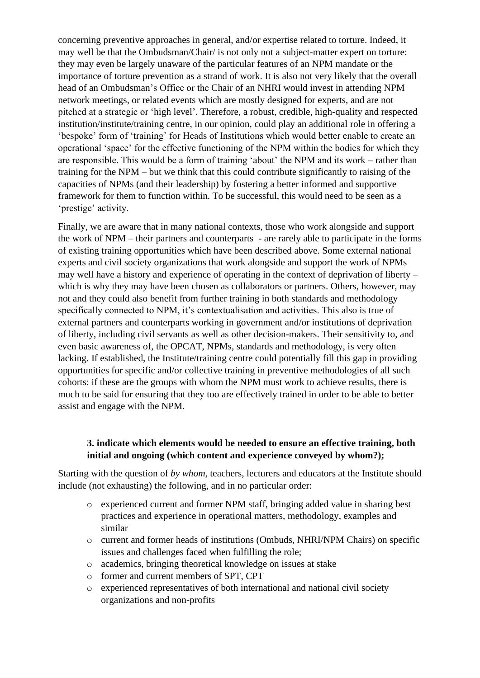concerning preventive approaches in general, and/or expertise related to torture. Indeed, it may well be that the Ombudsman/Chair/ is not only not a subject-matter expert on torture: they may even be largely unaware of the particular features of an NPM mandate or the importance of torture prevention as a strand of work. It is also not very likely that the overall head of an Ombudsman's Office or the Chair of an NHRI would invest in attending NPM network meetings, or related events which are mostly designed for experts, and are not pitched at a strategic or 'high level'. Therefore, a robust, credible, high-quality and respected institution/institute/training centre, in our opinion, could play an additional role in offering a 'bespoke' form of 'training' for Heads of Institutions which would better enable to create an operational 'space' for the effective functioning of the NPM within the bodies for which they are responsible. This would be a form of training 'about' the NPM and its work – rather than training for the NPM – but we think that this could contribute significantly to raising of the capacities of NPMs (and their leadership) by fostering a better informed and supportive framework for them to function within. To be successful, this would need to be seen as a 'prestige' activity.

Finally, we are aware that in many national contexts, those who work alongside and support the work of NPM – their partners and counterparts - are rarely able to participate in the forms of existing training opportunities which have been described above. Some external national experts and civil society organizations that work alongside and support the work of NPMs may well have a history and experience of operating in the context of deprivation of liberty – which is why they may have been chosen as collaborators or partners. Others, however, may not and they could also benefit from further training in both standards and methodology specifically connected to NPM, it's contextualisation and activities. This also is true of external partners and counterparts working in government and/or institutions of deprivation of liberty, including civil servants as well as other decision-makers. Their sensitivity to, and even basic awareness of, the OPCAT, NPMs, standards and methodology, is very often lacking. If established, the Institute/training centre could potentially fill this gap in providing opportunities for specific and/or collective training in preventive methodologies of all such cohorts: if these are the groups with whom the NPM must work to achieve results, there is much to be said for ensuring that they too are effectively trained in order to be able to better assist and engage with the NPM.

### **3. indicate which elements would be needed to ensure an effective training, both initial and ongoing (which content and experience conveyed by whom?);**

Starting with the question of *by whom*, teachers, lecturers and educators at the Institute should include (not exhausting) the following, and in no particular order:

- o experienced current and former NPM staff, bringing added value in sharing best practices and experience in operational matters, methodology, examples and similar
- o current and former heads of institutions (Ombuds, NHRI/NPM Chairs) on specific issues and challenges faced when fulfilling the role;
- o academics, bringing theoretical knowledge on issues at stake
- o former and current members of SPT, CPT
- o experienced representatives of both international and national civil society organizations and non-profits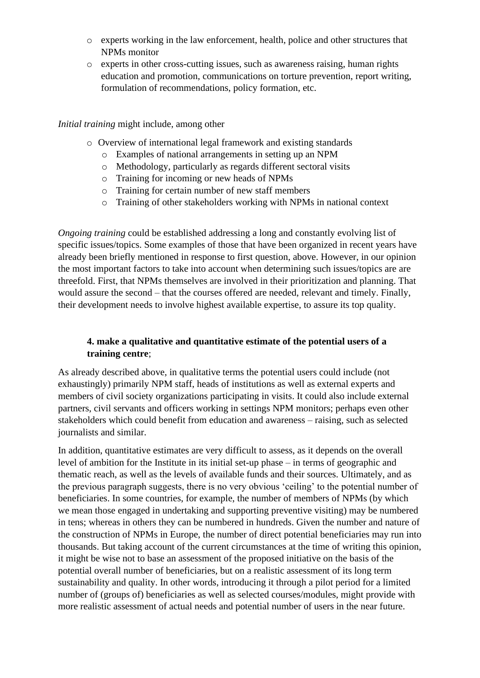- o experts working in the law enforcement, health, police and other structures that NPMs monitor
- o experts in other cross-cutting issues, such as awareness raising, human rights education and promotion, communications on torture prevention, report writing, formulation of recommendations, policy formation, etc.

### *Initial training* might include, among other

- o Overview of international legal framework and existing standards
	- o Examples of national arrangements in setting up an NPM
	- o Methodology, particularly as regards different sectoral visits
	- o Training for incoming or new heads of NPMs
	- o Training for certain number of new staff members
	- o Training of other stakeholders working with NPMs in national context

*Ongoing training* could be established addressing a long and constantly evolving list of specific issues/topics. Some examples of those that have been organized in recent years have already been briefly mentioned in response to first question, above. However, in our opinion the most important factors to take into account when determining such issues/topics are are threefold. First, that NPMs themselves are involved in their prioritization and planning. That would assure the second – that the courses offered are needed, relevant and timely. Finally, their development needs to involve highest available expertise, to assure its top quality.

### **4. make a qualitative and quantitative estimate of the potential users of a training centre**;

As already described above, in qualitative terms the potential users could include (not exhaustingly) primarily NPM staff, heads of institutions as well as external experts and members of civil society organizations participating in visits. It could also include external partners, civil servants and officers working in settings NPM monitors; perhaps even other stakeholders which could benefit from education and awareness – raising, such as selected journalists and similar.

In addition, quantitative estimates are very difficult to assess, as it depends on the overall level of ambition for the Institute in its initial set-up phase – in terms of geographic and thematic reach, as well as the levels of available funds and their sources. Ultimately, and as the previous paragraph suggests, there is no very obvious 'ceiling' to the potential number of beneficiaries. In some countries, for example, the number of members of NPMs (by which we mean those engaged in undertaking and supporting preventive visiting) may be numbered in tens; whereas in others they can be numbered in hundreds. Given the number and nature of the construction of NPMs in Europe, the number of direct potential beneficiaries may run into thousands. But taking account of the current circumstances at the time of writing this opinion, it might be wise not to base an assessment of the proposed initiative on the basis of the potential overall number of beneficiaries, but on a realistic assessment of its long term sustainability and quality. In other words, introducing it through a pilot period for a limited number of (groups of) beneficiaries as well as selected courses/modules, might provide with more realistic assessment of actual needs and potential number of users in the near future.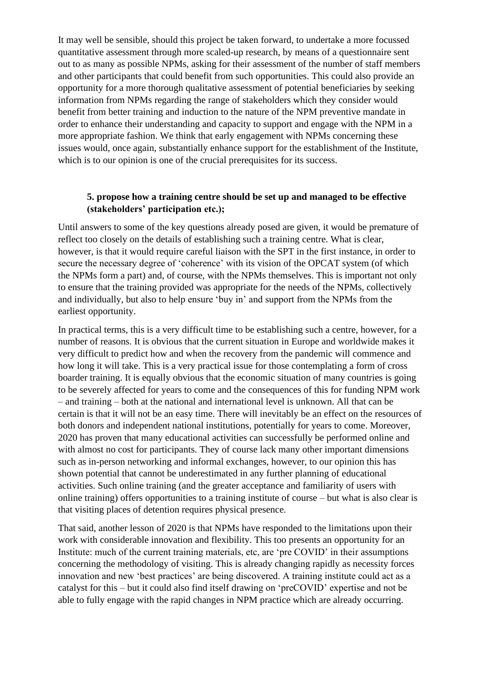It may well be sensible, should this project be taken forward, to undertake a more focussed quantitative assessment through more scaled-up research, by means of a questionnaire sent out to as many as possible NPMs, asking for their assessment of the number of staff members and other participants that could benefit from such opportunities. This could also provide an opportunity for a more thorough qualitative assessment of potential beneficiaries by seeking information from NPMs regarding the range of stakeholders which they consider would benefit from better training and induction to the nature of the NPM preventive mandate in order to enhance their understanding and capacity to support and engage with the NPM in a more appropriate fashion. We think that early engagement with NPMs concerning these issues would, once again, substantially enhance support for the establishment of the Institute, which is to our opinion is one of the crucial prerequisites for its success.

### **5. propose how a training centre should be set up and managed to be effective (stakeholders' participation etc.);**

Until answers to some of the key questions already posed are given, it would be premature of reflect too closely on the details of establishing such a training centre. What is clear, however, is that it would require careful liaison with the SPT in the first instance, in order to secure the necessary degree of 'coherence' with its vision of the OPCAT system (of which the NPMs form a part) and, of course, with the NPMs themselves. This is important not only to ensure that the training provided was appropriate for the needs of the NPMs, collectively and individually, but also to help ensure 'buy in' and support from the NPMs from the earliest opportunity.

In practical terms, this is a very difficult time to be establishing such a centre, however, for a number of reasons. It is obvious that the current situation in Europe and worldwide makes it very difficult to predict how and when the recovery from the pandemic will commence and how long it will take. This is a very practical issue for those contemplating a form of cross boarder training. It is equally obvious that the economic situation of many countries is going to be severely affected for years to come and the consequences of this for funding NPM work – and training – both at the national and international level is unknown. All that can be certain is that it will not be an easy time. There will inevitably be an effect on the resources of both donors and independent national institutions, potentially for years to come. Moreover, 2020 has proven that many educational activities can successfully be performed online and with almost no cost for participants. They of course lack many other important dimensions such as in-person networking and informal exchanges, however, to our opinion this has shown potential that cannot be underestimated in any further planning of educational activities. Such online training (and the greater acceptance and familiarity of users with online training) offers opportunities to a training institute of course – but what is also clear is that visiting places of detention requires physical presence.

That said, another lesson of 2020 is that NPMs have responded to the limitations upon their work with considerable innovation and flexibility. This too presents an opportunity for an Institute: much of the current training materials, etc, are 'pre COVID' in their assumptions concerning the methodology of visiting. This is already changing rapidly as necessity forces innovation and new 'best practices' are being discovered. A training institute could act as a catalyst for this – but it could also find itself drawing on 'preCOVID' expertise and not be able to fully engage with the rapid changes in NPM practice which are already occurring.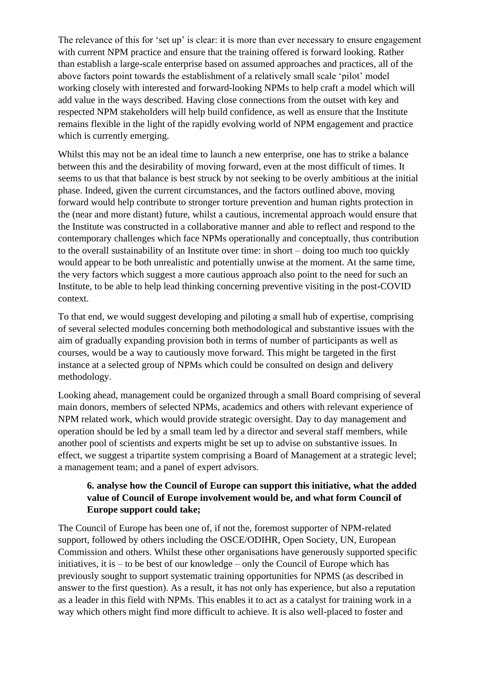The relevance of this for 'set up' is clear: it is more than ever necessary to ensure engagement with current NPM practice and ensure that the training offered is forward looking. Rather than establish a large-scale enterprise based on assumed approaches and practices, all of the above factors point towards the establishment of a relatively small scale 'pilot' model working closely with interested and forward-looking NPMs to help craft a model which will add value in the ways described. Having close connections from the outset with key and respected NPM stakeholders will help build confidence, as well as ensure that the Institute remains flexible in the light of the rapidly evolving world of NPM engagement and practice which is currently emerging.

Whilst this may not be an ideal time to launch a new enterprise, one has to strike a balance between this and the desirability of moving forward, even at the most difficult of times. It seems to us that that balance is best struck by not seeking to be overly ambitious at the initial phase. Indeed, given the current circumstances, and the factors outlined above, moving forward would help contribute to stronger torture prevention and human rights protection in the (near and more distant) future, whilst a cautious, incremental approach would ensure that the Institute was constructed in a collaborative manner and able to reflect and respond to the contemporary challenges which face NPMs operationally and conceptually, thus contribution to the overall sustainability of an Institute over time: in short – doing too much too quickly would appear to be both unrealistic and potentially unwise at the moment. At the same time, the very factors which suggest a more cautious approach also point to the need for such an Institute, to be able to help lead thinking concerning preventive visiting in the post-COVID context.

To that end, we would suggest developing and piloting a small hub of expertise, comprising of several selected modules concerning both methodological and substantive issues with the aim of gradually expanding provision both in terms of number of participants as well as courses, would be a way to cautiously move forward. This might be targeted in the first instance at a selected group of NPMs which could be consulted on design and delivery methodology.

Looking ahead, management could be organized through a small Board comprising of several main donors, members of selected NPMs, academics and others with relevant experience of NPM related work, which would provide strategic oversight. Day to day management and operation should be led by a small team led by a director and several staff members, while another pool of scientists and experts might be set up to advise on substantive issues. In effect, we suggest a tripartite system comprising a Board of Management at a strategic level; a management team; and a panel of expert advisors.

## **6. analyse how the Council of Europe can support this initiative, what the added value of Council of Europe involvement would be, and what form Council of Europe support could take;**

The Council of Europe has been one of, if not the, foremost supporter of NPM-related support, followed by others including the OSCE/ODIHR, Open Society, UN, European Commission and others. Whilst these other organisations have generously supported specific initiatives, it is  $-$  to be best of our knowledge  $-$  only the Council of Europe which has previously sought to support systematic training opportunities for NPMS (as described in answer to the first question). As a result, it has not only has experience, but also a reputation as a leader in this field with NPMs. This enables it to act as a catalyst for training work in a way which others might find more difficult to achieve. It is also well-placed to foster and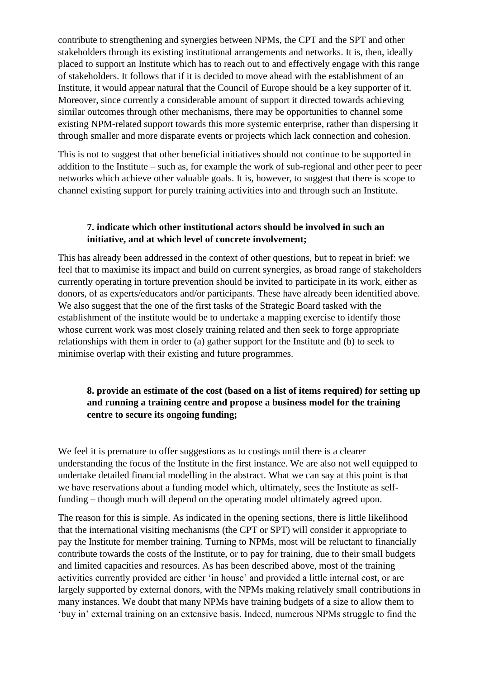contribute to strengthening and synergies between NPMs, the CPT and the SPT and other stakeholders through its existing institutional arrangements and networks. It is, then, ideally placed to support an Institute which has to reach out to and effectively engage with this range of stakeholders. It follows that if it is decided to move ahead with the establishment of an Institute, it would appear natural that the Council of Europe should be a key supporter of it. Moreover, since currently a considerable amount of support it directed towards achieving similar outcomes through other mechanisms, there may be opportunities to channel some existing NPM-related support towards this more systemic enterprise, rather than dispersing it through smaller and more disparate events or projects which lack connection and cohesion.

This is not to suggest that other beneficial initiatives should not continue to be supported in addition to the Institute – such as, for example the work of sub-regional and other peer to peer networks which achieve other valuable goals. It is, however, to suggest that there is scope to channel existing support for purely training activities into and through such an Institute.

### **7. indicate which other institutional actors should be involved in such an initiative, and at which level of concrete involvement;**

This has already been addressed in the context of other questions, but to repeat in brief: we feel that to maximise its impact and build on current synergies, as broad range of stakeholders currently operating in torture prevention should be invited to participate in its work, either as donors, of as experts/educators and/or participants. These have already been identified above. We also suggest that the one of the first tasks of the Strategic Board tasked with the establishment of the institute would be to undertake a mapping exercise to identify those whose current work was most closely training related and then seek to forge appropriate relationships with them in order to (a) gather support for the Institute and (b) to seek to minimise overlap with their existing and future programmes.

## **8. provide an estimate of the cost (based on a list of items required) for setting up and running a training centre and propose a business model for the training centre to secure its ongoing funding;**

We feel it is premature to offer suggestions as to costings until there is a clearer understanding the focus of the Institute in the first instance. We are also not well equipped to undertake detailed financial modelling in the abstract. What we can say at this point is that we have reservations about a funding model which, ultimately, sees the Institute as selffunding – though much will depend on the operating model ultimately agreed upon.

The reason for this is simple. As indicated in the opening sections, there is little likelihood that the international visiting mechanisms (the CPT or SPT) will consider it appropriate to pay the Institute for member training. Turning to NPMs, most will be reluctant to financially contribute towards the costs of the Institute, or to pay for training, due to their small budgets and limited capacities and resources. As has been described above, most of the training activities currently provided are either 'in house' and provided a little internal cost, or are largely supported by external donors, with the NPMs making relatively small contributions in many instances. We doubt that many NPMs have training budgets of a size to allow them to 'buy in' external training on an extensive basis. Indeed, numerous NPMs struggle to find the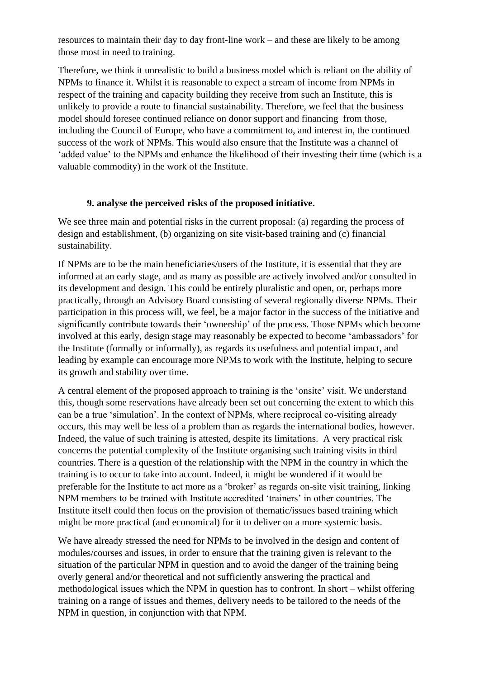resources to maintain their day to day front-line work – and these are likely to be among those most in need to training.

Therefore, we think it unrealistic to build a business model which is reliant on the ability of NPMs to finance it. Whilst it is reasonable to expect a stream of income from NPMs in respect of the training and capacity building they receive from such an Institute, this is unlikely to provide a route to financial sustainability. Therefore, we feel that the business model should foresee continued reliance on donor support and financing from those, including the Council of Europe, who have a commitment to, and interest in, the continued success of the work of NPMs. This would also ensure that the Institute was a channel of 'added value' to the NPMs and enhance the likelihood of their investing their time (which is a valuable commodity) in the work of the Institute.

### **9. analyse the perceived risks of the proposed initiative.**

We see three main and potential risks in the current proposal: (a) regarding the process of design and establishment, (b) organizing on site visit-based training and (c) financial sustainability.

If NPMs are to be the main beneficiaries/users of the Institute, it is essential that they are informed at an early stage, and as many as possible are actively involved and/or consulted in its development and design. This could be entirely pluralistic and open, or, perhaps more practically, through an Advisory Board consisting of several regionally diverse NPMs. Their participation in this process will, we feel, be a major factor in the success of the initiative and significantly contribute towards their 'ownership' of the process. Those NPMs which become involved at this early, design stage may reasonably be expected to become 'ambassadors' for the Institute (formally or informally), as regards its usefulness and potential impact, and leading by example can encourage more NPMs to work with the Institute, helping to secure its growth and stability over time.

A central element of the proposed approach to training is the 'onsite' visit. We understand this, though some reservations have already been set out concerning the extent to which this can be a true 'simulation'. In the context of NPMs, where reciprocal co-visiting already occurs, this may well be less of a problem than as regards the international bodies, however. Indeed, the value of such training is attested, despite its limitations. A very practical risk concerns the potential complexity of the Institute organising such training visits in third countries. There is a question of the relationship with the NPM in the country in which the training is to occur to take into account. Indeed, it might be wondered if it would be preferable for the Institute to act more as a 'broker' as regards on-site visit training, linking NPM members to be trained with Institute accredited 'trainers' in other countries. The Institute itself could then focus on the provision of thematic/issues based training which might be more practical (and economical) for it to deliver on a more systemic basis.

We have already stressed the need for NPMs to be involved in the design and content of modules/courses and issues, in order to ensure that the training given is relevant to the situation of the particular NPM in question and to avoid the danger of the training being overly general and/or theoretical and not sufficiently answering the practical and methodological issues which the NPM in question has to confront. In short – whilst offering training on a range of issues and themes, delivery needs to be tailored to the needs of the NPM in question, in conjunction with that NPM.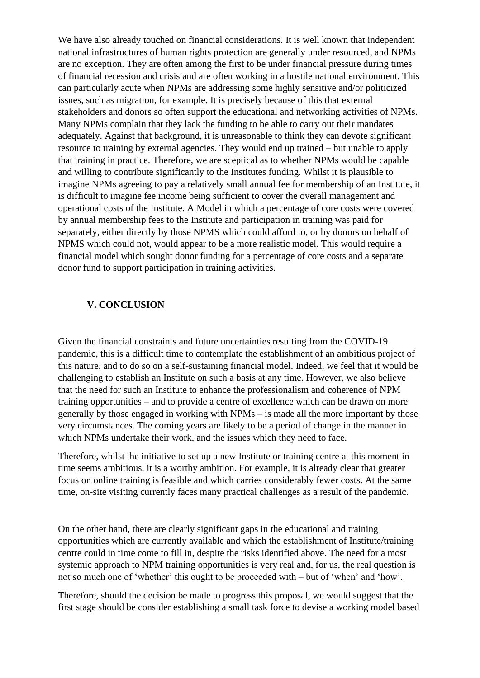We have also already touched on financial considerations. It is well known that independent national infrastructures of human rights protection are generally under resourced, and NPMs are no exception. They are often among the first to be under financial pressure during times of financial recession and crisis and are often working in a hostile national environment. This can particularly acute when NPMs are addressing some highly sensitive and/or politicized issues, such as migration, for example. It is precisely because of this that external stakeholders and donors so often support the educational and networking activities of NPMs. Many NPMs complain that they lack the funding to be able to carry out their mandates adequately. Against that background, it is unreasonable to think they can devote significant resource to training by external agencies. They would end up trained – but unable to apply that training in practice. Therefore, we are sceptical as to whether NPMs would be capable and willing to contribute significantly to the Institutes funding. Whilst it is plausible to imagine NPMs agreeing to pay a relatively small annual fee for membership of an Institute, it is difficult to imagine fee income being sufficient to cover the overall management and operational costs of the Institute. A Model in which a percentage of core costs were covered by annual membership fees to the Institute and participation in training was paid for separately, either directly by those NPMS which could afford to, or by donors on behalf of NPMS which could not, would appear to be a more realistic model. This would require a financial model which sought donor funding for a percentage of core costs and a separate donor fund to support participation in training activities.

### **V. CONCLUSION**

Given the financial constraints and future uncertainties resulting from the COVID-19 pandemic, this is a difficult time to contemplate the establishment of an ambitious project of this nature, and to do so on a self-sustaining financial model. Indeed, we feel that it would be challenging to establish an Institute on such a basis at any time. However, we also believe that the need for such an Institute to enhance the professionalism and coherence of NPM training opportunities – and to provide a centre of excellence which can be drawn on more generally by those engaged in working with NPMs – is made all the more important by those very circumstances. The coming years are likely to be a period of change in the manner in which NPMs undertake their work, and the issues which they need to face.

Therefore, whilst the initiative to set up a new Institute or training centre at this moment in time seems ambitious, it is a worthy ambition. For example, it is already clear that greater focus on online training is feasible and which carries considerably fewer costs. At the same time, on-site visiting currently faces many practical challenges as a result of the pandemic.

On the other hand, there are clearly significant gaps in the educational and training opportunities which are currently available and which the establishment of Institute/training centre could in time come to fill in, despite the risks identified above. The need for a most systemic approach to NPM training opportunities is very real and, for us, the real question is not so much one of 'whether' this ought to be proceeded with – but of 'when' and 'how'.

Therefore, should the decision be made to progress this proposal, we would suggest that the first stage should be consider establishing a small task force to devise a working model based